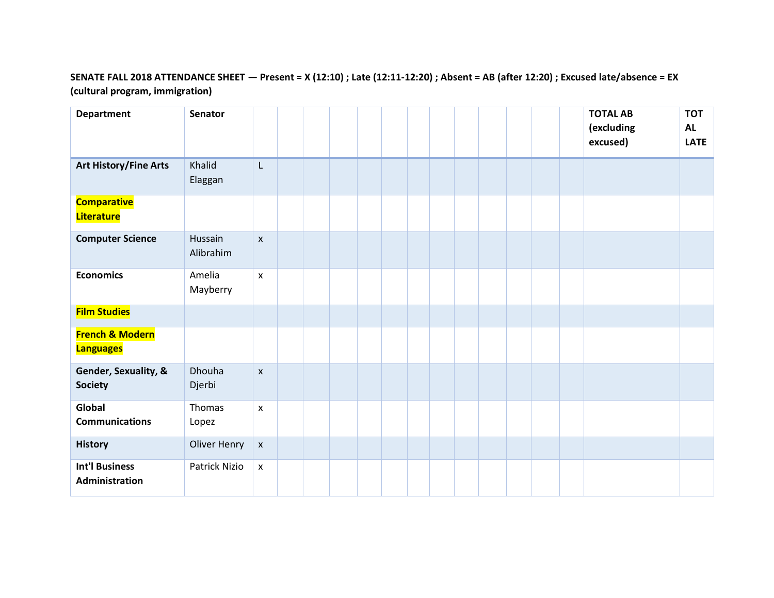## **SENATE FALL 2018 ATTENDANCE SHEET — Present = X (12:10) ; Late (12:11-12:20) ; Absent = AB (after 12:20) ; Excused late/absence = EX (cultural program, immigration)**

| <b>Department</b>                              | <b>Senator</b>       |                    |  |  |  |  |  |  | <b>TOTAL AB</b><br>(excluding<br>excused) | <b>TOT</b><br><b>AL</b><br><b>LATE</b> |
|------------------------------------------------|----------------------|--------------------|--|--|--|--|--|--|-------------------------------------------|----------------------------------------|
| <b>Art History/Fine Arts</b>                   | Khalid<br>Elaggan    | L                  |  |  |  |  |  |  |                                           |                                        |
| <b>Comparative</b><br>Literature               |                      |                    |  |  |  |  |  |  |                                           |                                        |
| <b>Computer Science</b>                        | Hussain<br>Alibrahim | $\pmb{\mathsf{X}}$ |  |  |  |  |  |  |                                           |                                        |
| <b>Economics</b>                               | Amelia<br>Mayberry   | $\pmb{\times}$     |  |  |  |  |  |  |                                           |                                        |
| <b>Film Studies</b>                            |                      |                    |  |  |  |  |  |  |                                           |                                        |
| <b>French &amp; Modern</b><br><b>Languages</b> |                      |                    |  |  |  |  |  |  |                                           |                                        |
| Gender, Sexuality, &<br><b>Society</b>         | Dhouha<br>Djerbi     | $\pmb{\times}$     |  |  |  |  |  |  |                                           |                                        |
| Global<br><b>Communications</b>                | Thomas<br>Lopez      | $\pmb{\mathsf{x}}$ |  |  |  |  |  |  |                                           |                                        |
| <b>History</b>                                 | Oliver Henry         | $\pmb{\mathsf{x}}$ |  |  |  |  |  |  |                                           |                                        |
| <b>Int'l Business</b><br>Administration        | Patrick Nizio        | $\pmb{\mathsf{X}}$ |  |  |  |  |  |  |                                           |                                        |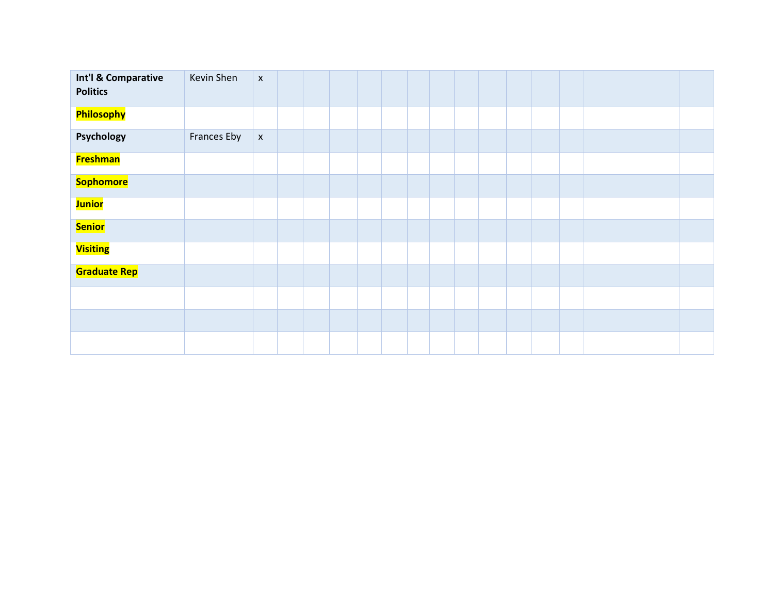| Int'l & Comparative<br><b>Politics</b> | Kevin Shen  | $\bar{\mathbf{x}}$ |  |  |  |  |  |  |  |
|----------------------------------------|-------------|--------------------|--|--|--|--|--|--|--|
| Philosophy                             |             |                    |  |  |  |  |  |  |  |
| Psychology                             | Frances Eby | $\pmb{\mathsf{x}}$ |  |  |  |  |  |  |  |
| <b>Freshman</b>                        |             |                    |  |  |  |  |  |  |  |
| Sophomore                              |             |                    |  |  |  |  |  |  |  |
| <b>Junior</b>                          |             |                    |  |  |  |  |  |  |  |
| <b>Senior</b>                          |             |                    |  |  |  |  |  |  |  |
| <b>Visiting</b>                        |             |                    |  |  |  |  |  |  |  |
| <b>Graduate Rep</b>                    |             |                    |  |  |  |  |  |  |  |
|                                        |             |                    |  |  |  |  |  |  |  |
|                                        |             |                    |  |  |  |  |  |  |  |
|                                        |             |                    |  |  |  |  |  |  |  |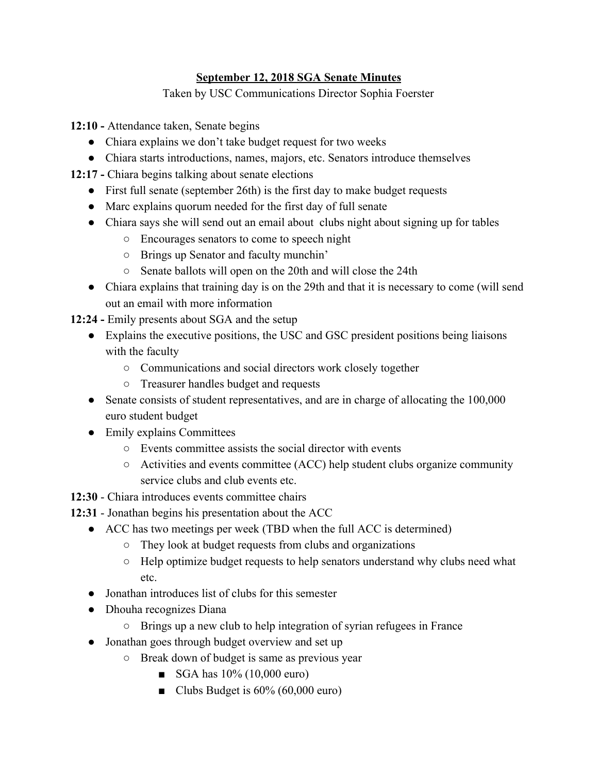## **September 12, 2018 SGA Senate Minutes**

Taken by USC Communications Director Sophia Foerster

**12:10 -** Attendance taken, Senate begins

- Chiara explains we don't take budget request for two weeks
- Chiara starts introductions, names, majors, etc. Senators introduce themselves
- **12:17** Chiara begins talking about senate elections
	- First full senate (september 26th) is the first day to make budget requests
	- Marc explains quorum needed for the first day of full senate
	- Chiara says she will send out an email about clubs night about signing up for tables
		- Encourages senators to come to speech night
		- Brings up Senator and faculty munchin'
		- Senate ballots will open on the 20th and will close the 24th
	- Chiara explains that training day is on the 29th and that it is necessary to come (will send out an email with more information
- **12:24** Emily presents about SGA and the setup
	- Explains the executive positions, the USC and GSC president positions being liaisons with the faculty
		- Communications and social directors work closely together
		- Treasurer handles budget and requests
	- Senate consists of student representatives, and are in charge of allocating the 100,000 euro student budget
	- Emily explains Committees
		- Events committee assists the social director with events
		- $\circ$  Activities and events committee (ACC) help student clubs organize community service clubs and club events etc.
- **12:30** Chiara introduces events committee chairs
- **12:31** Jonathan begins his presentation about the ACC
	- ACC has two meetings per week (TBD when the full ACC is determined)
		- They look at budget requests from clubs and organizations
		- Help optimize budget requests to help senators understand why clubs need what etc.
	- Jonathan introduces list of clubs for this semester
	- Dhouha recognizes Diana
		- Brings up a new club to help integration of syrian refugees in France
	- Jonathan goes through budget overview and set up
		- Break down of budget is same as previous year
			- $\blacksquare$  SGA has 10% (10,000 euro)
			- Clubs Budget is 60% (60,000 euro)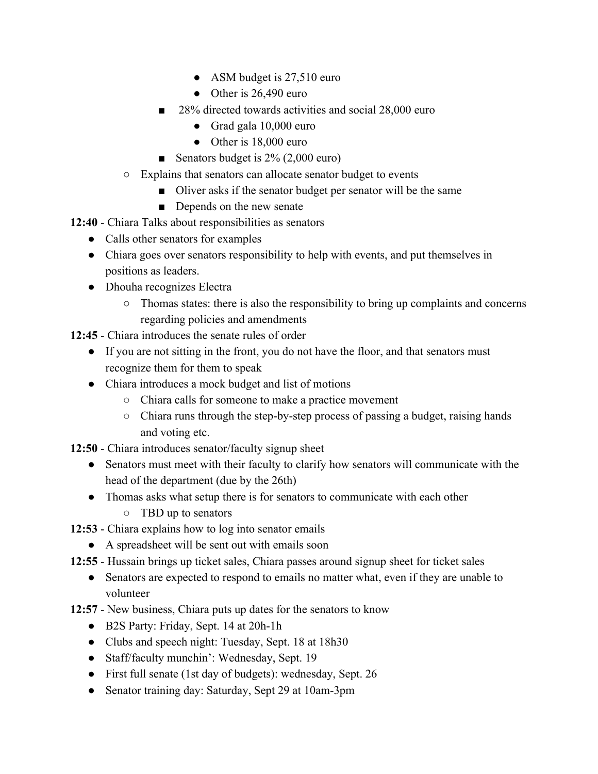- ASM budget is 27,510 euro
- Other is  $26,490$  euro
- 28% directed towards activities and social 28,000 euro
	- Grad gala 10,000 euro
	- Other is 18,000 euro
- Senators budget is 2% (2,000 euro)
- Explains that senators can allocate senator budget to events
	- Oliver asks if the senator budget per senator will be the same
	- Depends on the new senate
- **12:40** Chiara Talks about responsibilities as senators
	- Calls other senators for examples
	- Chiara goes over senators responsibility to help with events, and put themselves in positions as leaders.
	- Dhouha recognizes Electra
		- Thomas states: there is also the responsibility to bring up complaints and concerns regarding policies and amendments
- **12:45** Chiara introduces the senate rules of order
	- If you are not sitting in the front, you do not have the floor, and that senators must recognize them for them to speak
	- Chiara introduces a mock budget and list of motions
		- Chiara calls for someone to make a practice movement
		- Chiara runs through the step-by-step process of passing a budget, raising hands and voting etc.
- **12:50** Chiara introduces senator/faculty signup sheet
	- Senators must meet with their faculty to clarify how senators will communicate with the head of the department (due by the 26th)
	- Thomas asks what setup there is for senators to communicate with each other
		- TBD up to senators
- **12:53** Chiara explains how to log into senator emails
	- A spreadsheet will be sent out with emails soon
- **12:55** Hussain brings up ticket sales, Chiara passes around signup sheet for ticket sales
	- Senators are expected to respond to emails no matter what, even if they are unable to volunteer
- **12:57**  New business, Chiara puts up dates for the senators to know
	- B2S Party: Friday, Sept. 14 at 20h-1h
	- Clubs and speech night: Tuesday, Sept. 18 at 18h30
	- Staff/faculty munchin': Wednesday, Sept. 19
	- First full senate (1st day of budgets): wednesday, Sept. 26
	- Senator training day: Saturday, Sept 29 at 10am-3pm